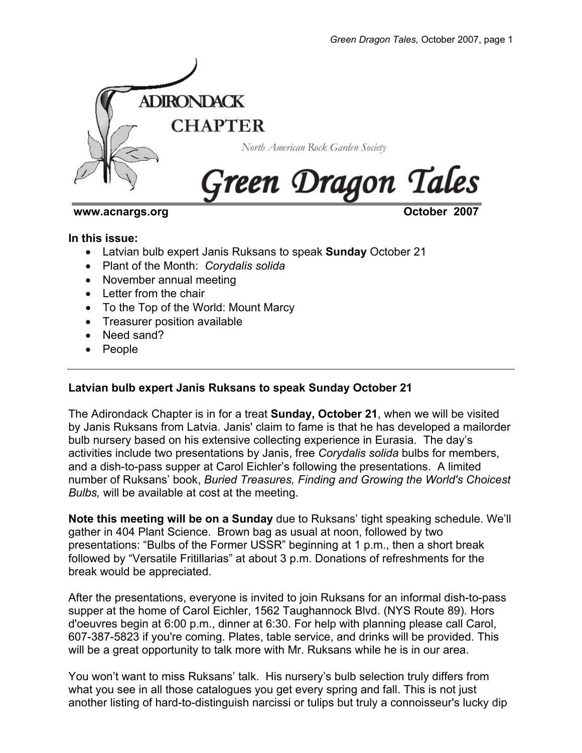

### **www.acnargs.org Community Community Community Community Community Community Community October 2007**

### **In this issue:**

- Latvian bulb expert Janis Ruksans to speak **Sunday** October 21
- Plant of the Month: *Corydalis solida*
- November annual meeting
- Letter from the chair
- To the Top of the World: Mount Marcy
- Treasurer position available
- Need sand?
- People

# **Latvian bulb expert Janis Ruksans to speak Sunday October 21**

The Adirondack Chapter is in for a treat **Sunday, October 21**, when we will be visited by Janis Ruksans from Latvia. Janis' claim to fame is that he has developed a mailorder bulb nursery based on his extensive collecting experience in Eurasia. The day's activities include two presentations by Janis, free *Corydalis solida* bulbs for members, and a dish-to-pass supper at Carol Eichler's following the presentations. A limited number of Ruksans' book, *Buried Treasures, Finding and Growing the World's Choicest Bulbs,* will be available at cost at the meeting.

**Note this meeting will be on a Sunday** due to Ruksans' tight speaking schedule. We'll gather in 404 Plant Science. Brown bag as usual at noon, followed by two presentations: "Bulbs of the Former USSR" beginning at 1 p.m., then a short break followed by "Versatile Fritillarias" at about 3 p.m. Donations of refreshments for the break would be appreciated.

After the presentations, everyone is invited to join Ruksans for an informal dish-to-pass supper at the home of Carol Eichler, 1562 Taughannock Blvd. (NYS Route 89). Hors d'oeuvres begin at 6:00 p.m., dinner at 6:30. For help with planning please call Carol, 607-387-5823 if you're coming. Plates, table service, and drinks will be provided. This will be a great opportunity to talk more with Mr. Ruksans while he is in our area.

You won't want to miss Ruksans' talk. His nursery's bulb selection truly differs from what you see in all those catalogues you get every spring and fall. This is not just another listing of hard-to-distinguish narcissi or tulips but truly a connoisseur's lucky dip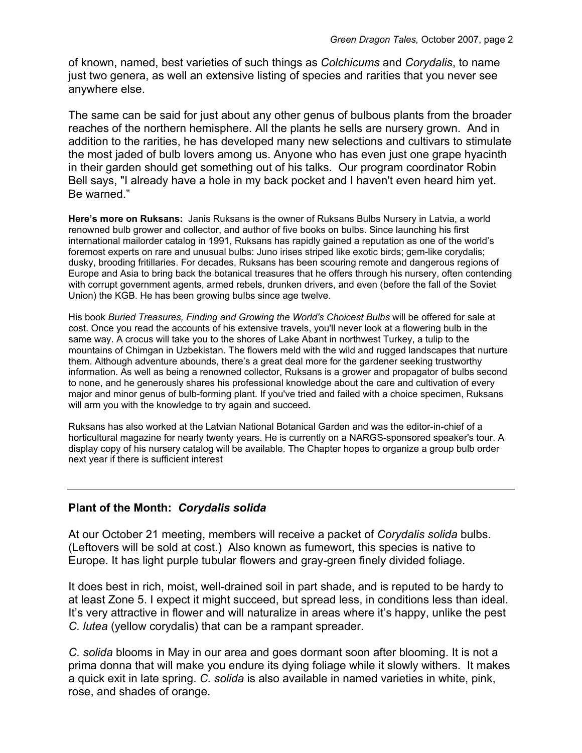of known, named, best varieties of such things as *Colchicums* and *Corydalis*, to name just two genera, as well an extensive listing of species and rarities that you never see anywhere else.

The same can be said for just about any other genus of bulbous plants from the broader reaches of the northern hemisphere. All the plants he sells are nursery grown. And in addition to the rarities, he has developed many new selections and cultivars to stimulate the most jaded of bulb lovers among us. Anyone who has even just one grape hyacinth in their garden should get something out of his talks. Our program coordinator Robin Bell says, "I already have a hole in my back pocket and I haven't even heard him yet. Be warned."

**Here's more on Ruksans:** Janis Ruksans is the owner of Ruksans Bulbs Nursery in Latvia, a world renowned bulb grower and collector, and author of five books on bulbs. Since launching his first international mailorder catalog in 1991, Ruksans has rapidly gained a reputation as one of the world's foremost experts on rare and unusual bulbs: Juno irises striped like exotic birds; gem-like corydalis; dusky, brooding fritillaries. For decades, Ruksans has been scouring remote and dangerous regions of Europe and Asia to bring back the botanical treasures that he offers through his nursery, often contending with corrupt government agents, armed rebels, drunken drivers, and even (before the fall of the Soviet Union) the KGB. He has been growing bulbs since age twelve.

His book *Buried Treasures, Finding and Growing the World's Choicest Bulbs* will be offered for sale at cost. Once you read the accounts of his extensive travels, you'll never look at a flowering bulb in the same way. A crocus will take you to the shores of Lake Abant in northwest Turkey, a tulip to the mountains of Chimgan in Uzbekistan. The flowers meld with the wild and rugged landscapes that nurture them. Although adventure abounds, there's a great deal more for the gardener seeking trustworthy information. As well as being a renowned collector, Ruksans is a grower and propagator of bulbs second to none, and he generously shares his professional knowledge about the care and cultivation of every major and minor genus of bulb-forming plant. If you've tried and failed with a choice specimen, Ruksans will arm you with the knowledge to try again and succeed.

Ruksans has also worked at the Latvian National Botanical Garden and was the editor-in-chief of a horticultural magazine for nearly twenty years. He is currently on a NARGS-sponsored speaker's tour. A display copy of his nursery catalog will be available. The Chapter hopes to organize a group bulb order next year if there is sufficient interest

## **Plant of the Month:** *Corydalis solida*

At our October 21 meeting, members will receive a packet of *Corydalis solida* bulbs. (Leftovers will be sold at cost.) Also known as fumewort, this species is native to Europe. It has light purple tubular flowers and gray-green finely divided foliage.

It does best in rich, moist, well-drained soil in part shade, and is reputed to be hardy to at least Zone 5. I expect it might succeed, but spread less, in conditions less than ideal. It's very attractive in flower and will naturalize in areas where it's happy, unlike the pest *C. lutea* (yellow corydalis) that can be a rampant spreader.

*C. solida* blooms in May in our area and goes dormant soon after blooming. It is not a prima donna that will make you endure its dying foliage while it slowly withers. It makes a quick exit in late spring. *C. solida* is also available in named varieties in white, pink, rose, and shades of orange.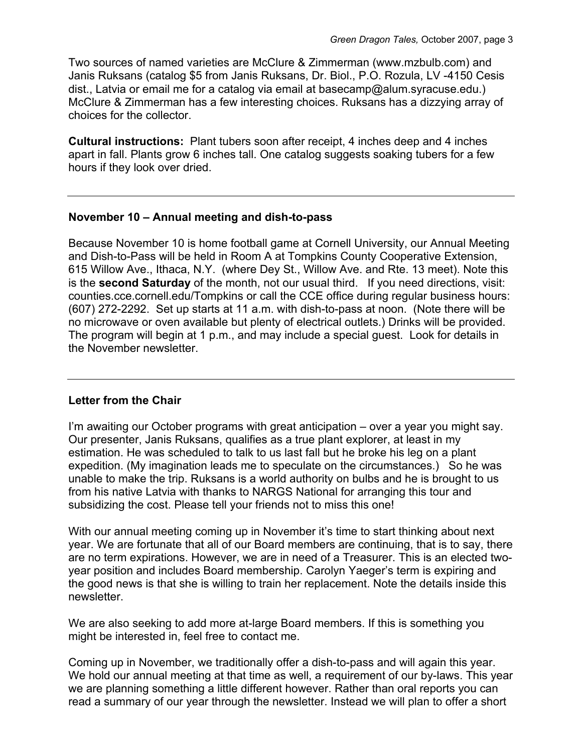Two sources of named varieties are McClure & Zimmerman (www.mzbulb.com) and Janis Ruksans (catalog \$5 from Janis Ruksans, Dr. Biol., P.O. Rozula, LV -4150 Cesis dist., Latvia or email me for a catalog via email at basecamp@alum.syracuse.edu.) McClure & Zimmerman has a few interesting choices. Ruksans has a dizzying array of choices for the collector.

**Cultural instructions:** Plant tubers soon after receipt, 4 inches deep and 4 inches apart in fall. Plants grow 6 inches tall. One catalog suggests soaking tubers for a few hours if they look over dried.

## **November 10 – Annual meeting and dish-to-pass**

Because November 10 is home football game at Cornell University, our Annual Meeting and Dish-to-Pass will be held in Room A at Tompkins County Cooperative Extension, 615 Willow Ave., Ithaca, N.Y. (where Dey St., Willow Ave. and Rte. 13 meet). Note this is the **second Saturday** of the month, not our usual third. If you need directions, visit: counties.cce.cornell.edu/Tompkins or call the CCE office during regular business hours: (607) 272-2292. Set up starts at 11 a.m. with dish-to-pass at noon. (Note there will be no microwave or oven available but plenty of electrical outlets.) Drinks will be provided. The program will begin at 1 p.m., and may include a special guest. Look for details in the November newsletter.

# **Letter from the Chair**

I'm awaiting our October programs with great anticipation – over a year you might say. Our presenter, Janis Ruksans, qualifies as a true plant explorer, at least in my estimation. He was scheduled to talk to us last fall but he broke his leg on a plant expedition. (My imagination leads me to speculate on the circumstances.) So he was unable to make the trip. Ruksans is a world authority on bulbs and he is brought to us from his native Latvia with thanks to NARGS National for arranging this tour and subsidizing the cost. Please tell your friends not to miss this one!

With our annual meeting coming up in November it's time to start thinking about next year. We are fortunate that all of our Board members are continuing, that is to say, there are no term expirations. However, we are in need of a Treasurer. This is an elected twoyear position and includes Board membership. Carolyn Yaeger's term is expiring and the good news is that she is willing to train her replacement. Note the details inside this newsletter.

We are also seeking to add more at-large Board members. If this is something you might be interested in, feel free to contact me.

Coming up in November, we traditionally offer a dish-to-pass and will again this year. We hold our annual meeting at that time as well, a requirement of our by-laws. This year we are planning something a little different however. Rather than oral reports you can read a summary of our year through the newsletter. Instead we will plan to offer a short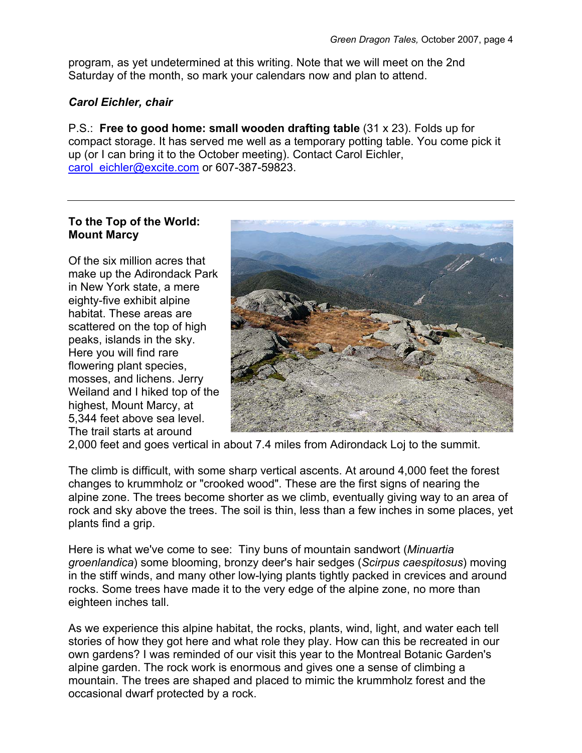program, as yet undetermined at this writing. Note that we will meet on the 2nd Saturday of the month, so mark your calendars now and plan to attend.

## *Carol Eichler, chair*

P.S.: **Free to good home: small wooden drafting table** (31 x 23). Folds up for compact storage. It has served me well as a temporary potting table. You come pick it up (or I can bring it to the October meeting). Contact Carol Eichler, carol\_eichler@excite.com or 607-387-59823.

## **To the Top of the World: Mount Marcy**

Of the six million acres that make up the Adirondack Park in New York state, a mere eighty-five exhibit alpine habitat. These areas are scattered on the top of high peaks, islands in the sky. Here you will find rare flowering plant species, mosses, and lichens. Jerry Weiland and I hiked top of the highest, Mount Marcy, at 5,344 feet above sea level. The trail starts at around



2,000 feet and goes vertical in about 7.4 miles from Adirondack Loj to the summit.

The climb is difficult, with some sharp vertical ascents. At around 4,000 feet the forest changes to krummholz or "crooked wood". These are the first signs of nearing the alpine zone. The trees become shorter as we climb, eventually giving way to an area of rock and sky above the trees. The soil is thin, less than a few inches in some places, yet plants find a grip.

Here is what we've come to see: Tiny buns of mountain sandwort (*Minuartia groenlandica*) some blooming, bronzy deer's hair sedges (*Scirpus caespitosus*) moving in the stiff winds, and many other low-lying plants tightly packed in crevices and around rocks. Some trees have made it to the very edge of the alpine zone, no more than eighteen inches tall.

As we experience this alpine habitat, the rocks, plants, wind, light, and water each tell stories of how they got here and what role they play. How can this be recreated in our own gardens? I was reminded of our visit this year to the Montreal Botanic Garden's alpine garden. The rock work is enormous and gives one a sense of climbing a mountain. The trees are shaped and placed to mimic the krummholz forest and the occasional dwarf protected by a rock.